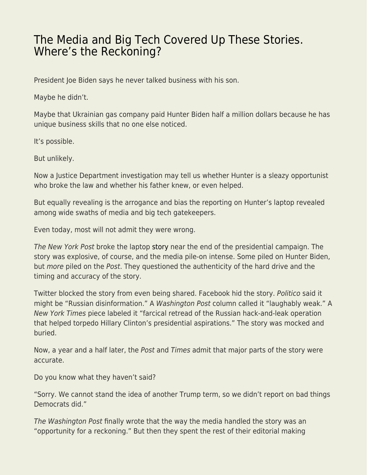## [The Media and Big Tech Covered Up These Stories.](https://everything-voluntary.com/the-media-and-big-tech-covered-up-these-stories-wheres-the-reckoning) [Where's the Reckoning?](https://everything-voluntary.com/the-media-and-big-tech-covered-up-these-stories-wheres-the-reckoning)

President Joe Biden says he never talked business with his son.

Maybe he didn't.

Maybe that Ukrainian gas company paid Hunter Biden half a million dollars because he has unique business skills that no one else noticed.

It's possible.

But unlikely.

Now a Justice Department investigation may tell us whether Hunter is a sleazy opportunist who broke the law and whether his father knew, or even helped.

But equally revealing is the arrogance and bias the reporting on Hunter's laptop revealed among wide swaths of media and big tech gatekeepers.

Even today, most will not admit they were wrong.

The New York Post broke the laptop [story](https://nypost.com/2020/10/14/email-reveals-how-hunter-biden-introduced-ukrainian-biz-man-to-dad/) near the end of the presidential campaign. The story was explosive, of course, and the media pile-on intense. Some piled on Hunter Biden, but more piled on the Post. They questioned the authenticity of the hard drive and the timing and accuracy of the story.

Twitter blocked the story from even being shared. Facebook hid the story. Politico said it might be "Russian disinformation." A Washington Post column called it "laughably weak." A New York Times piece labeled it "farcical retread of the Russian hack-and-leak operation that helped torpedo Hillary Clinton's presidential aspirations." The story was mocked and buried.

Now, a year and a half later, the Post and Times admit that major parts of the story were accurate.

Do you know what they haven't said?

"Sorry. We cannot stand the idea of another Trump term, so we didn't report on bad things Democrats did."

The Washington Post finally wrote that the way the media handled the story was an "opportunity for a reckoning." But then they spent the rest of their editorial making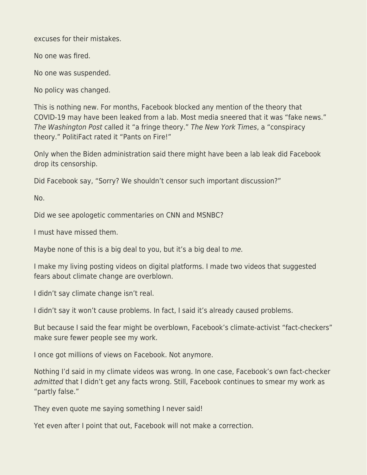excuses for their mistakes.

No one was fired.

No one was suspended.

No policy was changed.

This is nothing new. For months, Facebook blocked any mention of the theory that COVID-19 may have been leaked from a lab. Most media sneered that it was "fake news." The Washington Post called it "a fringe theory." The New York Times, a "conspiracy theory." PolitiFact rated it "Pants on Fire!"

Only when the Biden administration said there might have been a lab leak did Facebook drop its censorship.

Did Facebook say, "Sorry? We shouldn't censor such important discussion?"

No.

Did we see apologetic commentaries on CNN and MSNBC?

I must have missed them.

Maybe none of this is a big deal to you, but it's a big deal to me.

I make my living posting videos on digital platforms. I made two videos that suggested fears about climate change are overblown.

I didn't say climate change isn't real.

I didn't say it won't cause problems. In fact, I said it's already caused problems.

But because I said the fear might be overblown, Facebook's climate-activist "fact-checkers" make sure fewer people see my work.

I once got millions of views on Facebook. Not anymore.

Nothing I'd said in my climate videos was wrong. In one case, Facebook's own fact-checker admitted that I didn't get any facts wrong. Still, Facebook continues to smear my work as "partly false."

They even quote me saying something I never said!

Yet even after I point that out, Facebook will not make a correction.